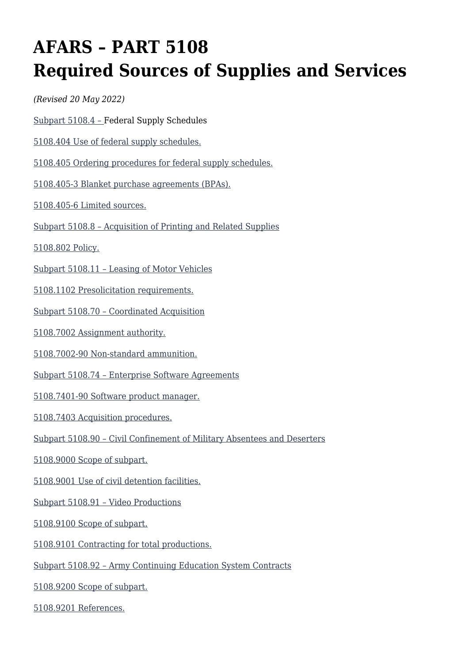# **AFARS – PART 5108 Required Sources of Supplies and Services**

*(Revised 20 May 2022)*

[Subpart 5108.4 – F](#page--1-0)ederal Supply Schedules

[5108.404 Use of federal supply schedules.](#page--1-0)

[5108.405 Ordering procedures for federal supply schedules.](#page--1-0)

[5108.405-3 Blanket purchase agreements \(BPAs\).](#page--1-0)

[5108.405-6 Limited sources.](#page--1-0)

[Subpart 5108.8 – Acquisition of Printing and Related Supplies](#page--1-0)

[5108.802 Policy.](#page--1-0)

[Subpart 5108.11 – Leasing of Motor Vehicles](#page--1-0)

[5108.1102 Presolicitation requirements.](#page--1-0)

[Subpart 5108.70 – Coordinated Acquisition](#page--1-0)

[5108.7002 Assignment authority.](#page--1-0)

[5108.7002-90 Non-standard ammunition.](#page--1-0)

[Subpart 5108.74 – Enterprise Software Agreements](#page--1-0)

[5108.7401-90 Software product manager.](#page--1-0)

[5108.7403 Acquisition procedures.](#page--1-0)

[Subpart 5108.90 – Civil Confinement of Military Absentees and Deserters](#page--1-0)

[5108.9000 Scope of subpart.](#page--1-0)

[5108.9001 Use of civil detention facilities.](#page--1-0)

[Subpart 5108.91 – Video Productions](#page--1-0)

[5108.9100 Scope of subpart.](#page--1-0)

[5108.9101 Contracting for total productions.](#page--1-0)

[Subpart 5108.92 – Army Continuing Education System Contracts](#page--1-0)

[5108.9200 Scope of subpart.](#page--1-0)

[5108.9201 References.](#page--1-0)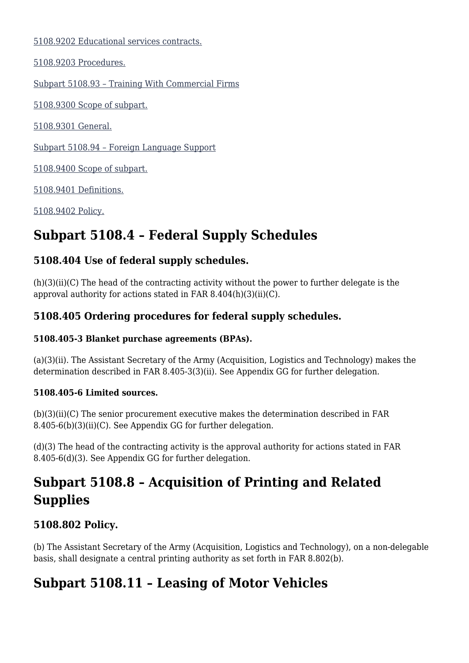[5108.9202 Educational services contracts.](#page--1-0)

[5108.9203 Procedures.](#page--1-0)

[Subpart 5108.93 – Training With Commercial Firms](#page--1-0)

[5108.9300 Scope of subpart.](#page--1-0)

[5108.9301 General.](#page--1-0)

[Subpart 5108.94 – Foreign Language Support](#page--1-0)

[5108.9400 Scope of subpart.](#page--1-0)

[5108.9401 Definitions.](#page--1-0)

[5108.9402 Policy.](#page--1-0)

# **Subpart 5108.4 – Federal Supply Schedules**

### **5108.404 Use of federal supply schedules.**

(h)(3)(ii)(C) The head of the contracting activity without the power to further delegate is the approval authority for actions stated in FAR 8.404(h)(3)(ii)(C).

### **5108.405 Ordering procedures for federal supply schedules.**

#### **5108.405-3 Blanket purchase agreements (BPAs).**

(a)(3)(ii). The Assistant Secretary of the Army (Acquisition, Logistics and Technology) makes the determination described in FAR 8.405-3(3)(ii). See Appendix GG for further delegation.

#### **5108.405-6 Limited sources.**

(b)(3)(ii)(C) The senior procurement executive makes the determination described in FAR 8.405-6(b)(3)(ii)(C). See Appendix GG for further delegation.

(d)(3) The head of the contracting activity is the approval authority for actions stated in FAR 8.405-6(d)(3). See Appendix GG for further delegation.

# **Subpart 5108.8 – Acquisition of Printing and Related Supplies**

### **5108.802 Policy.**

(b) The Assistant Secretary of the Army (Acquisition, Logistics and Technology), on a non-delegable basis, shall designate a central printing authority as set forth in FAR 8.802(b).

# **Subpart 5108.11 – Leasing of Motor Vehicles**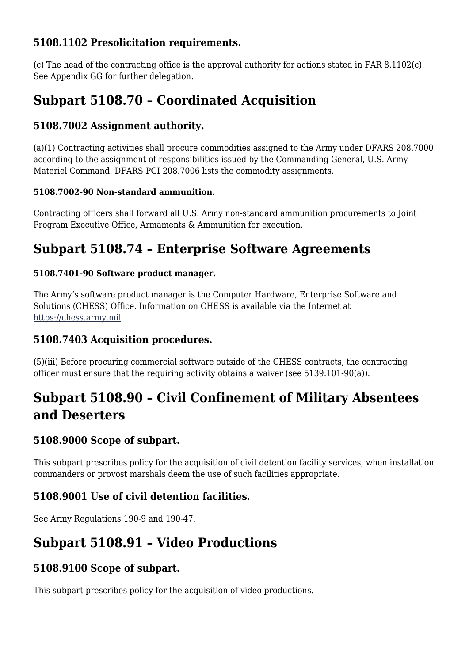### **5108.1102 Presolicitation requirements.**

(c) The head of the contracting office is the approval authority for actions stated in FAR 8.1102(c). See Appendix GG for further delegation.

# **Subpart 5108.70 – Coordinated Acquisition**

#### **5108.7002 Assignment authority.**

(a)(1) Contracting activities shall procure commodities assigned to the Army under DFARS 208.7000 according to the assignment of responsibilities issued by the Commanding General, U.S. Army Materiel Command. DFARS PGI 208.7006 lists the commodity assignments.

#### **5108.7002-90 Non-standard ammunition.**

Contracting officers shall forward all U.S. Army non-standard ammunition procurements to Joint Program Executive Office, Armaments & Ammunition for execution.

## **Subpart 5108.74 – Enterprise Software Agreements**

#### **5108.7401-90 Software product manager.**

The Army's software product manager is the Computer Hardware, Enterprise Software and Solutions (CHESS) Office. Information on CHESS is available via the Internet at [https://chess.army.mil.](https://chess.army.mil)

### **5108.7403 Acquisition procedures.**

(5)(iii) Before procuring commercial software outside of the CHESS contracts, the contracting officer must ensure that the requiring activity obtains a waiver (see 5139.101-90(a)).

# **Subpart 5108.90 – Civil Confinement of Military Absentees and Deserters**

### **5108.9000 Scope of subpart.**

This subpart prescribes policy for the acquisition of civil detention facility services, when installation commanders or provost marshals deem the use of such facilities appropriate.

### **5108.9001 Use of civil detention facilities.**

See Army Regulations 190-9 and 190-47.

## **Subpart 5108.91 – Video Productions**

### **5108.9100 Scope of subpart.**

This subpart prescribes policy for the acquisition of video productions.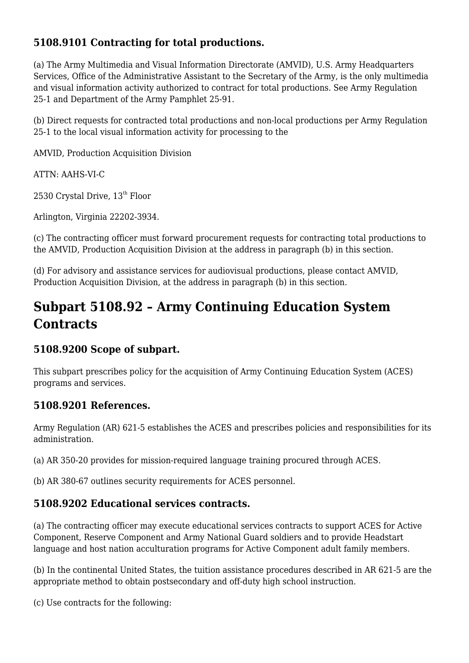### **5108.9101 Contracting for total productions.**

(a) The Army Multimedia and Visual Information Directorate (AMVID), U.S. Army Headquarters Services, Office of the Administrative Assistant to the Secretary of the Army, is the only multimedia and visual information activity authorized to contract for total productions. See Army Regulation 25-1 and Department of the Army Pamphlet 25-91.

(b) Direct requests for contracted total productions and non-local productions per Army Regulation 25-1 to the local visual information activity for processing to the

AMVID, Production Acquisition Division

ATTN: AAHS-VI-C

2530 Crystal Drive,  $13<sup>th</sup>$  Floor

Arlington, Virginia 22202-3934.

(c) The contracting officer must forward procurement requests for contracting total productions to the AMVID, Production Acquisition Division at the address in paragraph (b) in this section.

(d) For advisory and assistance services for audiovisual productions, please contact AMVID, Production Acquisition Division, at the address in paragraph (b) in this section.

# **Subpart 5108.92 – Army Continuing Education System Contracts**

### **5108.9200 Scope of subpart.**

This subpart prescribes policy for the acquisition of Army Continuing Education System (ACES) programs and services.

### **5108.9201 References.**

Army Regulation (AR) 621-5 establishes the ACES and prescribes policies and responsibilities for its administration.

(a) AR 350-20 provides for mission-required language training procured through ACES.

(b) AR 380-67 outlines security requirements for ACES personnel.

### **5108.9202 Educational services contracts.**

(a) The contracting officer may execute educational services contracts to support ACES for Active Component, Reserve Component and Army National Guard soldiers and to provide Headstart language and host nation acculturation programs for Active Component adult family members.

(b) In the continental United States, the tuition assistance procedures described in AR 621-5 are the appropriate method to obtain postsecondary and off-duty high school instruction.

(c) Use contracts for the following: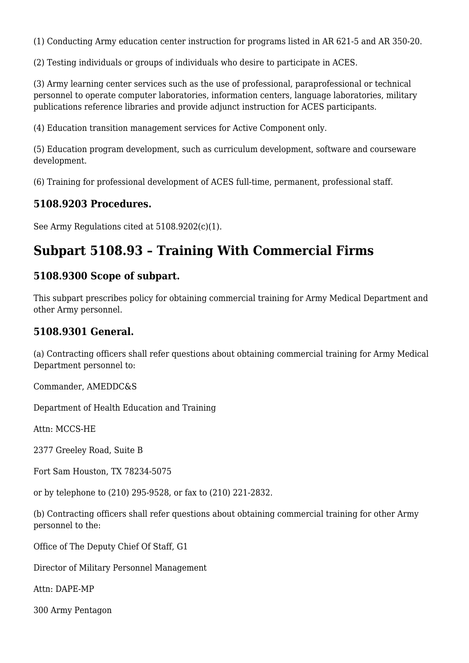(1) Conducting Army education center instruction for programs listed in AR 621-5 and AR 350-20.

(2) Testing individuals or groups of individuals who desire to participate in ACES.

(3) Army learning center services such as the use of professional, paraprofessional or technical personnel to operate computer laboratories, information centers, language laboratories, military publications reference libraries and provide adjunct instruction for ACES participants.

(4) Education transition management services for Active Component only.

(5) Education program development, such as curriculum development, software and courseware development.

(6) Training for professional development of ACES full-time, permanent, professional staff.

#### **5108.9203 Procedures.**

See Army Regulations cited at 5108.9202(c)(1).

### **Subpart 5108.93 – Training With Commercial Firms**

#### **5108.9300 Scope of subpart.**

This subpart prescribes policy for obtaining commercial training for Army Medical Department and other Army personnel.

#### **5108.9301 General.**

(a) Contracting officers shall refer questions about obtaining commercial training for Army Medical Department personnel to:

Commander, AMEDDC&S

Department of Health Education and Training

Attn: MCCS-HE

2377 Greeley Road, Suite B

Fort Sam Houston, TX 78234-5075

or by telephone to (210) 295-9528, or fax to (210) 221-2832.

(b) Contracting officers shall refer questions about obtaining commercial training for other Army personnel to the:

Office of The Deputy Chief Of Staff, G1

Director of Military Personnel Management

Attn: DAPE-MP

300 Army Pentagon